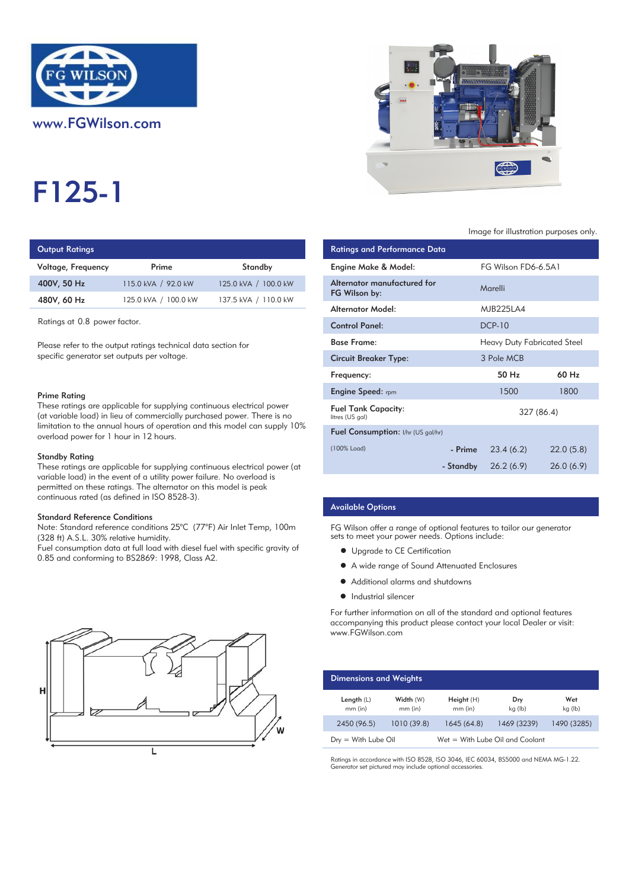

# F125-1

# **Output Ratings**

| Voltage, Frequency | Prime                | Standby              | Engine Make & Model:  |
|--------------------|----------------------|----------------------|-----------------------|
| 400V, 50 Hz        | 115.0 kVA / 92.0 kW  | 125.0 kVA / 100.0 kW | Alternator manufactur |
| 480V, 60 Hz        | 125.0 kVA / 100.0 kW | 137.5 kVA / 110.0 kW | FG Wilson by:         |
|                    |                      |                      |                       |

#### Prime Rating

#### Standby Rating

These ratings are applicable for supplying continuous electrical power (at variable load) in the event of a utility power failure. No overload is permitted on these ratings. The alternator on this model is peak continuous rated (as defined in ISO 8528-3).

#### Standard Reference Conditions

Note: Standard reference conditions 25°C (77°F) Air Inlet Temp, 100m (328 ft) A.S.L. 30% relative humidity.

Fuel consumption data at full load with diesel fuel with specific gravity of 0.85 and conforming to BS2869: 1998, Class A2.





#### Image for illustration purposes only.

| <b>Output Ratings</b>                                                                                                                             |                                                                                                          |                                                                            | <b>Ratings and Performance Data</b>           |            |                                    |
|---------------------------------------------------------------------------------------------------------------------------------------------------|----------------------------------------------------------------------------------------------------------|----------------------------------------------------------------------------|-----------------------------------------------|------------|------------------------------------|
| Voltage, Frequency                                                                                                                                | Prime                                                                                                    | Standby                                                                    | Engine Make & Model:                          |            | FG Wilson FD6-6.5A1                |
| 400V, 50 Hz                                                                                                                                       | 115.0 kVA / 92.0 kW                                                                                      | 125.0 kVA / 100.0 kW                                                       | Alternator manufactured for<br>FG Wilson by:  |            | Marelli                            |
| 480V, 60 Hz                                                                                                                                       | 125.0 kVA / 100.0 kW                                                                                     | 137.5 kVA / 110.0 kW                                                       | <b>Alternator Model:</b>                      |            | <b>MJB225LA4</b>                   |
| Ratings at 0.8 power factor.                                                                                                                      |                                                                                                          |                                                                            | <b>Control Panel:</b>                         |            | <b>DCP-10</b>                      |
| Please refer to the output ratings technical data section for                                                                                     |                                                                                                          |                                                                            | <b>Base Frame:</b>                            |            | <b>Heavy Duty Fabricated Steel</b> |
| specific generator set outputs per voltage.                                                                                                       |                                                                                                          | <b>Circuit Breaker Type:</b>                                               |                                               | 3 Pole MCB |                                    |
|                                                                                                                                                   |                                                                                                          |                                                                            | Frequency:                                    |            | 50 Hz                              |
| Prime Rating                                                                                                                                      |                                                                                                          |                                                                            | <b>Engine Speed:</b> rpm                      |            | 1500                               |
| These ratings are applicable for supplying continuous electrical power<br>(at variable load) in lieu of commercially purchased power. There is no |                                                                                                          |                                                                            | <b>Fuel Tank Capacity:</b><br>litres (US gal) |            | 327 (86.4)                         |
| limitation to the annual hours of operation and this model can supply $10\%$<br>overload power for 1 hour in 12 hours.                            |                                                                                                          | Fuel Consumption: I/hr (US gal/hr)                                         |                                               |            |                                    |
| Standby Rating                                                                                                                                    |                                                                                                          |                                                                            | (100% Load)                                   | - Prime    | 23.4(6.2)                          |
|                                                                                                                                                   | المطالب والمستحدث المطالب المستطر والمتألف والمتحدث المستحدث المستحدث المستحدث المستحدث المطالب المستحدث | These ratings are applicable for supplying continuous electrical power (at |                                               | - Standby  | 26.2(6.9)                          |

#### Available Options

FG Wilson offer a range of optional features to tailor our generator sets to meet your power needs. Options include:

- **•** Upgrade to CE Certification
- A wide range of Sound Attenuated Enclosures
- Additional alarms and shutdowns
- **•** Industrial silencer

For further information on all of the standard and optional features accompanying this product please contact your local Dealer or visit: www.FGWilson.com

| <b>Dimensions and Weights</b> |                        |                                   |                |                |
|-------------------------------|------------------------|-----------------------------------|----------------|----------------|
| Length $(L)$<br>$mm$ (in)     | Width (W)<br>$mm$ (in) | Height(H)<br>$mm$ (in)            | Dry<br>kg (lb) | Wet<br>kg (lb) |
| 2450 (96.5)                   | 1010 (39.8)            | 1645(64.8)                        | 1469 (3239)    | 1490 (3285)    |
| $Drv = With Lube Oil$         |                        | $Wet = With Lube Oil and Coolant$ |                |                |

Ratings in accordance with ISO 8528, ISO 3046, IEC 60034, BS5000 and NEMA MG-1.22. Generator set pictured may include optional accessories.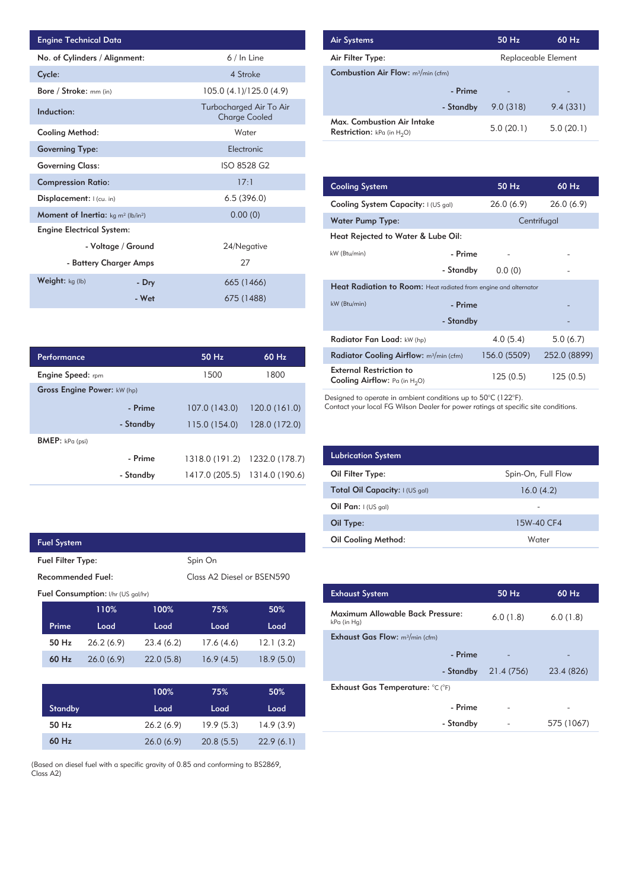| <b>Engine Technical Data</b>                                |                    |                                                 | <b>Air Systems</b>  |
|-------------------------------------------------------------|--------------------|-------------------------------------------------|---------------------|
| No. of Cylinders / Alignment:                               |                    | 6 / In Line                                     | Air Filter Ty       |
| Cycle:                                                      |                    | 4 Stroke                                        | Combustior          |
| Bore / Stroke: mm (in)                                      |                    | 105.0 (4.1)/125.0 (4.9)                         |                     |
| Induction:                                                  |                    | Turbocharged Air To Air<br><b>Charge Cooled</b> | Max. Comb           |
| Cooling Method:                                             |                    | Water                                           | <b>Restriction:</b> |
| <b>Governing Type:</b>                                      |                    | Electronic                                      |                     |
| <b>Governing Class:</b>                                     |                    | ISO 8528 G2                                     |                     |
| <b>Compression Ratio:</b>                                   |                    | 17:1                                            | <b>Cooling Sys</b>  |
| Displacement:   (cu. in)                                    |                    | 6.5(396.0)                                      | <b>Cooling Sys</b>  |
| <b>Moment of Inertia:</b> $kg \, m^2$ (lb/in <sup>2</sup> ) |                    | 0.00(0)                                         | Water Pum           |
| <b>Engine Electrical System:</b>                            |                    |                                                 | <b>Heat Reject</b>  |
|                                                             | - Voltage / Ground | 24/Negative                                     |                     |
| - Battery Charger Amps                                      |                    | 27                                              | kW (Btu/min)        |
| Weight: kg (lb)                                             | - Dry              | 665 (1466)                                      | <b>Heat Radia</b>   |
|                                                             | - Wet              | 675 (1488)                                      | kW (Btu/min)        |

| Performance                        |           | 50 Hz          | 60 Hz          |
|------------------------------------|-----------|----------------|----------------|
| <b>Engine Speed:</b> rpm           |           | 1500           | 1800           |
| <b>Gross Engine Power: kW (hp)</b> |           |                |                |
|                                    | - Prime   | 107.0 (143.0)  | 120.0(161.0)   |
|                                    | - Standby | 115.0(154.0)   | 128.0 (172.0)  |
| <b>BMEP:</b> $kPa$ (psi)           |           |                |                |
|                                    | - Prime   | 1318.0 (191.2) | 1232.0 (178.7) |
|                                    | - Standby | 1417.0 (205.5) | 1314.0 (190.6) |

| <b>Fuel System</b>                        |      |      |                                        |      |  |  |
|-------------------------------------------|------|------|----------------------------------------|------|--|--|
| Spin On<br><b>Fuel Filter Type:</b>       |      |      |                                        |      |  |  |
| Recommended Fuel:                         |      |      | Class A <sub>2</sub> Diesel or BSEN590 |      |  |  |
| <b>Fuel Consumption:</b> I/hr (US gal/hr) |      |      |                                        |      |  |  |
|                                           | 110% | 100% | 75%                                    | 50%  |  |  |
| Prime                                     | Load | Load | Load                                   | Load |  |  |

| Prime   | Load      | Load      | Load      | Load      |
|---------|-----------|-----------|-----------|-----------|
| 50 Hz   | 26.2(6.9) | 23.4(6.2) | 17.6(4.6) | 12.1(3.2) |
| $60$ Hz | 26.0(6.9) | 22.0(5.8) | 16.9(4.5) | 18.9(5.0) |

|                | 100%      | 75%       | 50%       |
|----------------|-----------|-----------|-----------|
| <b>Standby</b> | Load      | Load      | Load      |
| 50 Hz          | 26.2(6.9) | 19.9(5.3) | 14.9(3.9) |
| $60$ Hz        | 26.0(6.9) | 20.8(5.5) | 22.9(6.1) |

(Based on diesel fuel with a specific gravity of 0.85 and conforming to BS2869, Class A2)

| <b>Air Systems</b>                                                 | 50 Hz     | $60$ Hz                  |  |
|--------------------------------------------------------------------|-----------|--------------------------|--|
| Air Filter Type:                                                   |           | Replaceable Element      |  |
| <b>Combustion Air Flow:</b> m <sup>3</sup> /min (cfm)              |           |                          |  |
| - Prime                                                            |           | $\overline{\phantom{0}}$ |  |
| - Standby                                                          | 9.0(318)  | 9.4(331)                 |  |
| Max. Combustion Air Intake<br><b>Restriction:</b> kPa (in $H_2O$ ) | 5.0(20.1) | 5.0(20.1)                |  |

| 17:1        |       | <b>Cooling System</b>                                                     |           | 50 Hz        | 60 Hz        |
|-------------|-------|---------------------------------------------------------------------------|-----------|--------------|--------------|
| 6.5(396.0)  |       | Cooling System Capacity: I (US gal)                                       |           | 26.0(6.9)    | 26.0(6.9)    |
| 0.00(0)     |       | <b>Water Pump Type:</b>                                                   |           |              | Centrifugal  |
|             |       | Heat Rejected to Water & Lube Oil:                                        |           |              |              |
| 24/Negative |       | kW (Btu/min)                                                              | - Prime   |              |              |
| 27          |       |                                                                           | - Standby | 0.0(0)       |              |
| 665 (1466)  |       | Heat Radiation to Room: Heat radiated from engine and alternator          |           |              |              |
| 675 (1488)  |       | kW (Btu/min)                                                              | - Prime   |              |              |
|             |       |                                                                           | - Standby |              |              |
|             |       | Radiator Fan Load: kW (hp)                                                |           | 4.0(5.4)     | 5.0(6.7)     |
| 50 Hz       | 60 Hz | Radiator Cooling Airflow: m <sup>3</sup> /min (cfm)                       |           | 156.0 (5509) | 252.0 (8899) |
| 1500        | 1800  | <b>External Restriction to</b><br><b>Cooling Airflow:</b> Pa (in $H_2O$ ) |           | 125 (0.5)    | 125(0.5)     |

Designed to operate in ambient conditions up to 50°C (122°F).

Contact your local FG Wilson Dealer for power ratings at specific site conditions.

| <b>Lubrication System</b>      |                    |
|--------------------------------|--------------------|
| Oil Filter Type:               | Spin-On, Full Flow |
| Total Oil Capacity: I (US gal) | 16.0(4.2)          |
| Oil Pan: $I(US gal)$           |                    |
| Oil Type:                      | 15W-40 CF4         |
| <b>Oil Cooling Method:</b>     | Water              |

| <b>Exhaust System</b>                           | $50$ Hz    | 60 Hz      |
|-------------------------------------------------|------------|------------|
| Maximum Allowable Back Pressure:<br>kPa (in Hg) | 6.0(1.8)   | 6.0(1.8)   |
| <b>Exhaust Gas Flow:</b> $m^3/m$ in (cfm)       |            |            |
| - Prime                                         |            |            |
| - Standby                                       | 21.4 (756) | 23.4 (826) |
| Exhaust Gas Temperature: °C (°F)                |            |            |
| - Prime                                         |            |            |
| - Standby                                       |            | 575 (1067) |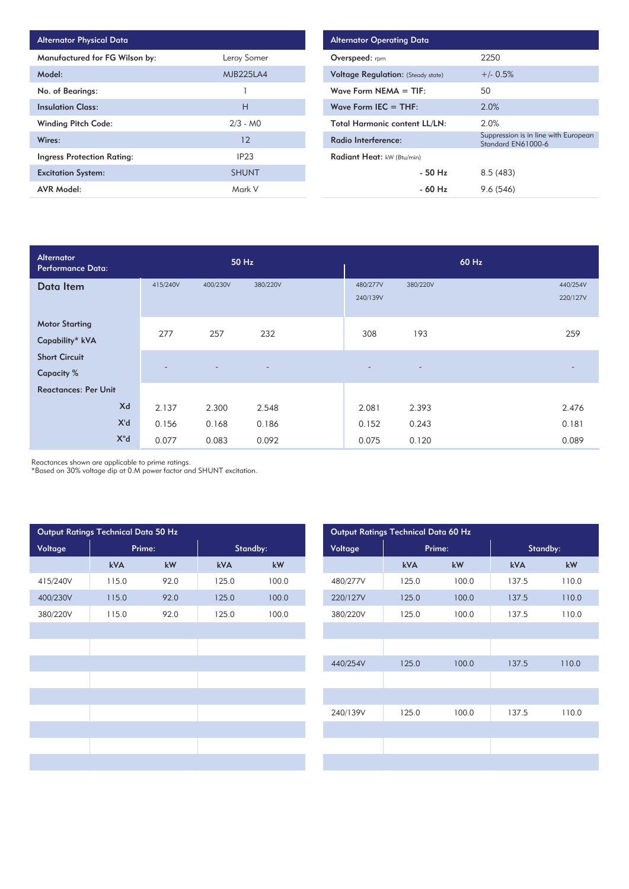| <b>Alternator Physical Data</b>   |                  |
|-----------------------------------|------------------|
| Manufactured for FG Wilson by:    | Leroy Somer      |
| Model:                            | <b>MJB225LA4</b> |
| No. of Bearings:                  |                  |
| <b>Insulation Class:</b>          | Н                |
| <b>Winding Pitch Code:</b>        | $2/3 - MO$       |
| Wires:                            | 12               |
| <b>Ingress Protection Rating:</b> | IP <sub>23</sub> |
| <b>Excitation System:</b>         | <b>SHUNT</b>     |
| <b>AVR Model:</b>                 | Mark V           |

| <b>Alternator Operating Data</b>          |                                                            |  |  |  |  |  |  |
|-------------------------------------------|------------------------------------------------------------|--|--|--|--|--|--|
| <b>Overspeed:</b> rpm                     | 2250                                                       |  |  |  |  |  |  |
| <b>Voltage Regulation:</b> (Steady state) | $+/- 0.5%$                                                 |  |  |  |  |  |  |
| Wave Form NEMA $=$ TIF:                   | 50                                                         |  |  |  |  |  |  |
| Wave Form IEC $=$ THF:                    | 2.0%                                                       |  |  |  |  |  |  |
| <b>Total Harmonic content LL/LN:</b>      | 2.0%                                                       |  |  |  |  |  |  |
| Radio Interference:                       | Suppression is in line with European<br>Standard EN61000-6 |  |  |  |  |  |  |
| Radiant Heat: kW (Btu/min)                |                                                            |  |  |  |  |  |  |
| $-50$ Hz                                  | 8.5(483)                                                   |  |  |  |  |  |  |
| - 60 Hz                                   | 9.6(546)                                                   |  |  |  |  |  |  |

| <b>Alternator</b><br><b>Performance Data:</b> |          |          | 50 Hz                    |                          |          | 60 Hz |                      |
|-----------------------------------------------|----------|----------|--------------------------|--------------------------|----------|-------|----------------------|
| Data Item                                     | 415/240V | 400/230V | 380/220V                 | 480/277V<br>240/139V     | 380/220V |       | 440/254V<br>220/127V |
| <b>Motor Starting</b><br>Capability* kVA      | 277      | 257      | 232                      | 308                      | 193      |       | 259                  |
| <b>Short Circuit</b><br><b>Capacity %</b>     |          |          | $\overline{\phantom{0}}$ | $\overline{\phantom{0}}$ | -        |       |                      |
| <b>Reactances: Per Unit</b>                   |          |          |                          |                          |          |       |                      |
| Xd                                            | 2.137    | 2.300    | 2.548                    | 2.081                    | 2.393    |       | 2.476                |
| X'd                                           | 0.156    | 0.168    | 0.186                    | 0.152                    | 0.243    |       | 0.181                |
| $X^{\prime\prime}$ d                          | 0.077    | 0.083    | 0.092                    | 0.075                    | 0.120    |       | 0.089                |

Reactances shown are applicable to prime ratings.

\*Based on 30% voltage dip at 0.M power factor and SHUNT excitation.

| Output Ratings Technical Data 50 Hz |        |      |          |       | Output Ratings Technical Data 60 Hz |        |       |          |       |
|-------------------------------------|--------|------|----------|-------|-------------------------------------|--------|-------|----------|-------|
| Voltage                             | Prime: |      | Standby: |       | Voltage                             | Prime: |       | Standby: |       |
|                                     | kVA    | kW   | kVA      | kW    |                                     | kVA    | kW    | kVA      | kW    |
| 415/240V                            | 115.0  | 92.0 | 125.0    | 100.0 | 480/277V                            | 125.0  | 100.0 | 137.5    | 110.0 |
| 400/230V                            | 115.0  | 92.0 | 125.0    | 100.0 | 220/127V                            | 125.0  | 100.0 | 137.5    | 110.0 |
| 380/220V                            | 115.0  | 92.0 | 125.0    | 100.0 | 380/220V                            | 125.0  | 100.0 | 137.5    | 110.0 |
|                                     |        |      |          |       |                                     |        |       |          |       |
|                                     |        |      |          |       |                                     |        |       |          |       |
|                                     |        |      |          |       | 440/254V                            | 125.0  | 100.0 | 137.5    | 110.0 |
|                                     |        |      |          |       |                                     |        |       |          |       |
|                                     |        |      |          |       |                                     |        |       |          |       |
|                                     |        |      |          |       | 240/139V                            | 125.0  | 100.0 | 137.5    | 110.0 |
|                                     |        |      |          |       |                                     |        |       |          |       |
|                                     |        |      |          |       |                                     |        |       |          |       |
|                                     |        |      |          |       |                                     |        |       |          |       |